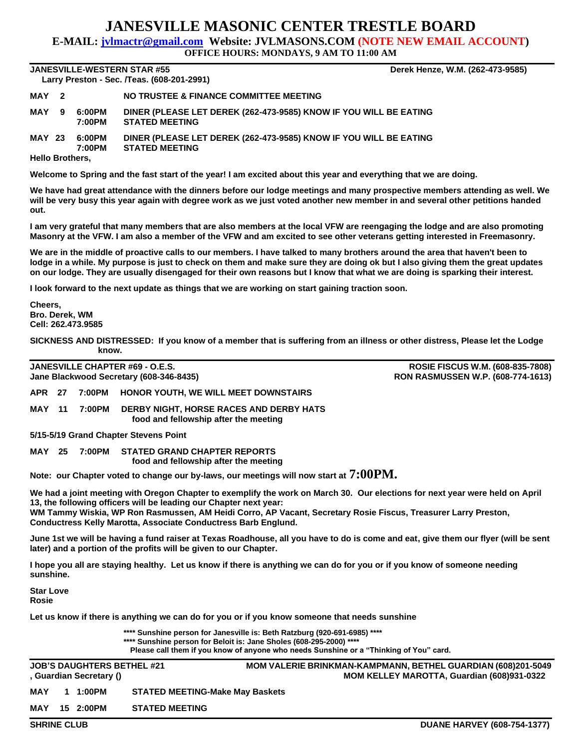## **JANESVILLE MASONIC CENTER TRESTLE BOARD**

**E-MAIL: jvlmactr@gmail.com Website: JVLMASONS.COM (NOTE NEW EMAIL ACCOUNT)**

**OFFICE HOURS: MONDAYS, 9 AM TO 11:00 AM**

**JANESVILLE-WESTERN STAR #55 Derek Henze, W.M. (262-473-9585) Larry Preston - Sec. /Teas. (608-201-2991)** 

| <b>EUITY LIGGION OCC. ITCUS. (000 EUI EUJI)</b> |  |                  |                                                                                            |  |  |  |  |  |  |
|-------------------------------------------------|--|------------------|--------------------------------------------------------------------------------------------|--|--|--|--|--|--|
| MAY 2                                           |  |                  | NO TRUSTEE & FINANCE COMMITTEE MEETING                                                     |  |  |  |  |  |  |
| MAY 9                                           |  | 6:00PM<br>7:00PM | DINER (PLEASE LET DEREK (262-473-9585) KNOW IF YOU WILL BE EATING<br><b>STATED MEETING</b> |  |  |  |  |  |  |
| <b>MAY 23</b>                                   |  | 6:00PM<br>7:00PM | DINER (PLEASE LET DEREK (262-473-9585) KNOW IF YOU WILL BE EATING<br><b>STATED MEETING</b> |  |  |  |  |  |  |
| <b>Hello Brothers,</b>                          |  |                  |                                                                                            |  |  |  |  |  |  |

**Welcome to Spring and the fast start of the year! I am excited about this year and everything that we are doing.**

**We have had great attendance with the dinners before our lodge meetings and many prospective members attending as well. We will be very busy this year again with degree work as we just voted another new member in and several other petitions handed out.**

**I am very grateful that many members that are also members at the local VFW are reengaging the lodge and are also promoting Masonry at the VFW. I am also a member of the VFW and am excited to see other veterans getting interested in Freemasonry.**

**We are in the middle of proactive calls to our members. I have talked to many brothers around the area that haven't been to lodge in a while. My purpose is just to check on them and make sure they are doing ok but I also giving them the great updates on our lodge. They are usually disengaged for their own reasons but I know that what we are doing is sparking their interest.**

**I look forward to the next update as things that we are working on start gaining traction soon.**

**Cheers, Bro. Derek, WM Cell: 262.473.9585**

**SICKNESS AND DISTRESSED: If you know of a member that is suffering from an illness or other distress, Please let the Lodge know.**

**JANESVILLE CHAPTER #69 - O.E.S. ROSIE FISCUS W.M. (608-835-7808) Jane Blackwood Secretary (608-346-8435) RON RASMUSSEN W.P. (608-774-1613)**

**APR 27 7:00PM HONOR YOUTH, WE WILL MEET DOWNSTAIRS**

**MAY 11 7:00PM DERBY NIGHT, HORSE RACES AND DERBY HATS food and fellowship after the meeting**

**5/15-5/19 Grand Chapter Stevens Point**

**MAY 25 7:00PM STATED GRAND CHAPTER REPORTS food and fellowship after the meeting**

**Note: our Chapter voted to change our by-laws, our meetings will now start at 7:00PM.**

**We had a joint meeting with Oregon Chapter to exemplify the work on March 30. Our elections for next year were held on April 13, the following officers will be leading our Chapter next year:**

**WM Tammy Wiskia, WP Ron Rasmussen, AM Heidi Corro, AP Vacant, Secretary Rosie Fiscus, Treasurer Larry Preston, Conductress Kelly Marotta, Associate Conductress Barb Englund.**

**June 1st we will be having a fund raiser at Texas Roadhouse, all you have to do is come and eat, give them our flyer (will be sent later) and a portion of the profits will be given to our Chapter.**

**I hope you all are staying healthy. Let us know if there is anything we can do for you or if you know of someone needing sunshine.**

**Star Love Rosie**

**Let us know if there is anything we can do for you or if you know someone that needs sunshine**

**\*\*\*\* Sunshine person for Janesville is: Beth Ratzburg (920-691-6985) \*\*\*\***

**\*\*\*\* Sunshine person for Beloit is: Jane Sholes (608-295-2000) \*\*\*\***

**Please call them if you know of anyone who needs Sunshine or a "Thinking of You" card.**

**JOB'S DAUGHTERS BETHEL #21 MOM VALERIE BRINKMAN-KAMPMANN, BETHEL GUARDIAN (608)201-5049 , Guardian Secretary () MOM KELLEY MAROTTA, Guardian (608)931-0322 MAY 1 1:00PM STATED MEETING-Make May Baskets**

**MAY 15 2:00PM STATED MEETING**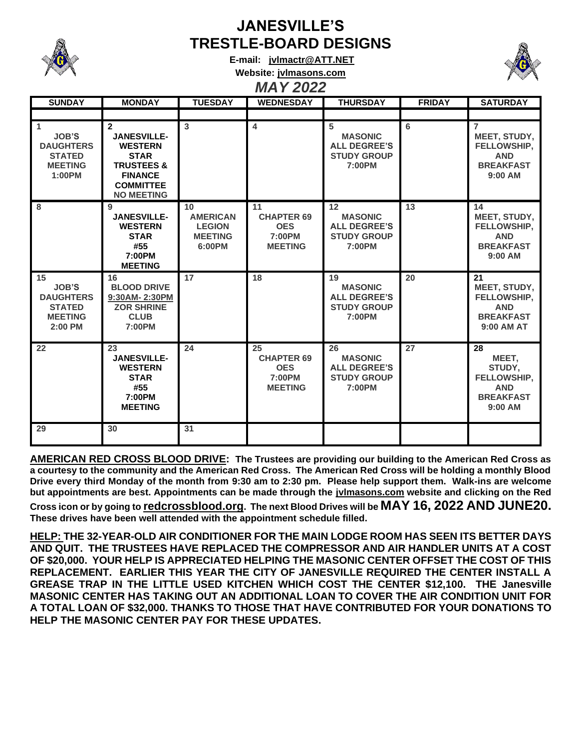

## **JANESVILLE'S TRESTLE-BOARD DESIGNS**

**E-mail: [jvlmactr@ATT.NET](mailto:jvlmactr@ATT.NET)**



## **Website: jvlmasons.com** *MAY 2022*

| <b>SUNDAY</b>                                                                        | <b>MONDAY</b>                                                                                                                                             | <b>TUESDAY</b>                                                                  | <b>WEDNESDAY</b>                                                  | <b>THURSDAY</b>                                                             | <b>FRIDAY</b> | <b>SATURDAY</b>                                                                                     |
|--------------------------------------------------------------------------------------|-----------------------------------------------------------------------------------------------------------------------------------------------------------|---------------------------------------------------------------------------------|-------------------------------------------------------------------|-----------------------------------------------------------------------------|---------------|-----------------------------------------------------------------------------------------------------|
|                                                                                      |                                                                                                                                                           |                                                                                 |                                                                   |                                                                             |               |                                                                                                     |
| 1<br><b>JOB'S</b><br><b>DAUGHTERS</b><br><b>STATED</b><br><b>MEETING</b><br>1:00PM   | $\overline{2}$<br><b>JANESVILLE-</b><br><b>WESTERN</b><br><b>STAR</b><br><b>TRUSTEES &amp;</b><br><b>FINANCE</b><br><b>COMMITTEE</b><br><b>NO MEETING</b> | $\overline{3}$                                                                  | $\overline{4}$                                                    | 5<br><b>MASONIC</b><br><b>ALL DEGREE'S</b><br><b>STUDY GROUP</b><br>7:00PM  | 6             | $\overline{7}$<br>MEET, STUDY,<br><b>FELLOWSHIP.</b><br><b>AND</b><br><b>BREAKFAST</b><br>$9:00$ AM |
| 8                                                                                    | 9<br><b>JANESVILLE-</b><br><b>WESTERN</b><br><b>STAR</b><br>#55<br>7:00PM<br><b>MEETING</b>                                                               | 10 <sup>1</sup><br><b>AMERICAN</b><br><b>LEGION</b><br><b>MEETING</b><br>6:00PM | 11<br><b>CHAPTER 69</b><br><b>OES</b><br>7:00PM<br><b>MEETING</b> | 12<br><b>MASONIC</b><br><b>ALL DEGREE'S</b><br><b>STUDY GROUP</b><br>7:00PM | 13            | 14<br>MEET, STUDY,<br>FELLOWSHIP,<br><b>AND</b><br><b>BREAKFAST</b><br>9:00 AM                      |
| 15<br><b>JOB'S</b><br><b>DAUGHTERS</b><br><b>STATED</b><br><b>MEETING</b><br>2:00 PM | 16<br><b>BLOOD DRIVE</b><br>9:30AM-2:30PM<br><b>ZOR SHRINE</b><br><b>CLUB</b><br>7:00PM                                                                   | $\overline{17}$                                                                 | 18                                                                | 19<br><b>MASONIC</b><br><b>ALL DEGREE'S</b><br><b>STUDY GROUP</b><br>7:00PM | 20            | 21<br>MEET, STUDY,<br><b>FELLOWSHIP.</b><br><b>AND</b><br><b>BREAKFAST</b><br>9:00 AM AT            |
| 22                                                                                   | 23<br><b>JANESVILLE-</b><br><b>WESTERN</b><br><b>STAR</b><br>#55<br>7:00PM<br><b>MEETING</b>                                                              | 24                                                                              | 25<br><b>CHAPTER 69</b><br><b>OES</b><br>7:00PM<br><b>MEETING</b> | 26<br><b>MASONIC</b><br><b>ALL DEGREE'S</b><br><b>STUDY GROUP</b><br>7:00PM | 27            | 28<br>MEET,<br>STUDY.<br>FELLOWSHIP,<br><b>AND</b><br><b>BREAKFAST</b><br>$9:00$ AM                 |
| 29                                                                                   | 30                                                                                                                                                        | 31                                                                              |                                                                   |                                                                             |               |                                                                                                     |

**AMERICAN RED CROSS BLOOD DRIVE: The Trustees are providing our building to the American Red Cross as a courtesy to the community and the American Red Cross. The American Red Cross will be holding a monthly Blood Drive every third Monday of the month from 9:30 am to 2:30 pm. Please help support them. Walk-ins are welcome but appointments are best. Appointments can be made through the jvlmasons.com website and clicking on the Red Cross icon or by going to redcrossblood.org. The next Blood Drives will be MAY 16, 2022 AND JUNE20. These drives have been well attended with the appointment schedule filled.**

**HELP: THE 32-YEAR-OLD AIR CONDITIONER FOR THE MAIN LODGE ROOM HAS SEEN ITS BETTER DAYS AND QUIT. THE TRUSTEES HAVE REPLACED THE COMPRESSOR AND AIR HANDLER UNITS AT A COST OF \$20,000. YOUR HELP IS APPRECIATED HELPING THE MASONIC CENTER OFFSET THE COST OF THIS REPLACEMENT. EARLIER THIS YEAR THE CITY OF JANESVILLE REQUIRED THE CENTER INSTALL A GREASE TRAP IN THE LITTLE USED KITCHEN WHICH COST THE CENTER \$12,100. THE Janesville MASONIC CENTER HAS TAKING OUT AN ADDITIONAL LOAN TO COVER THE AIR CONDITION UNIT FOR A TOTAL LOAN OF \$32,000. THANKS TO THOSE THAT HAVE CONTRIBUTED FOR YOUR DONATIONS TO HELP THE MASONIC CENTER PAY FOR THESE UPDATES.**